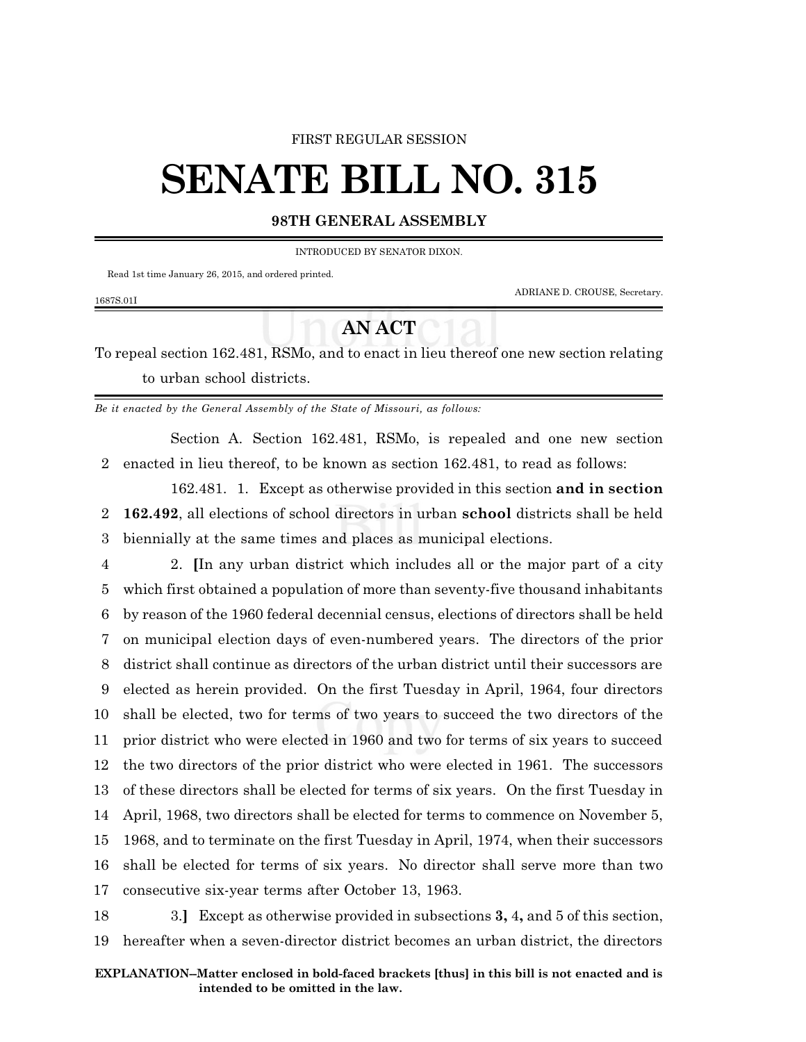# FIRST REGULAR SESSION

# **SENATE BILL NO. 315**

# **98TH GENERAL ASSEMBLY**

INTRODUCED BY SENATOR DIXON.

Read 1st time January 26, 2015, and ordered printed.

ADRIANE D. CROUSE, Secretary.

### 1687S.01I

# **AN ACT**

To repeal section 162.481, RSMo, and to enact in lieu thereof one new section relating to urban school districts.

*Be it enacted by the General Assembly of the State of Missouri, as follows:*

Section A. Section 162.481, RSMo, is repealed and one new section 2 enacted in lieu thereof, to be known as section 162.481, to read as follows:

162.481. 1. Except as otherwise provided in this section **and in section** 2 **162.492**, all elections of school directors in urban **school** districts shall be held 3 biennially at the same times and places as municipal elections.

 2. **[**In any urban district which includes all or the major part of a city which first obtained a population of more than seventy-five thousand inhabitants by reason of the 1960 federal decennial census, elections of directors shall be held on municipal election days of even-numbered years. The directors of the prior district shall continue as directors of the urban district until their successors are elected as herein provided. On the first Tuesday in April, 1964, four directors shall be elected, two for terms of two years to succeed the two directors of the prior district who were elected in 1960 and two for terms of six years to succeed the two directors of the prior district who were elected in 1961. The successors of these directors shall be elected for terms of six years. On the first Tuesday in April, 1968, two directors shall be elected for terms to commence on November 5, 1968, and to terminate on the first Tuesday in April, 1974, when their successors shall be elected for terms of six years. No director shall serve more than two consecutive six-year terms after October 13, 1963.

18 3.**]** Except as otherwise provided in subsections **3,** 4**,** and 5 of this section, 19 hereafter when a seven-director district becomes an urban district, the directors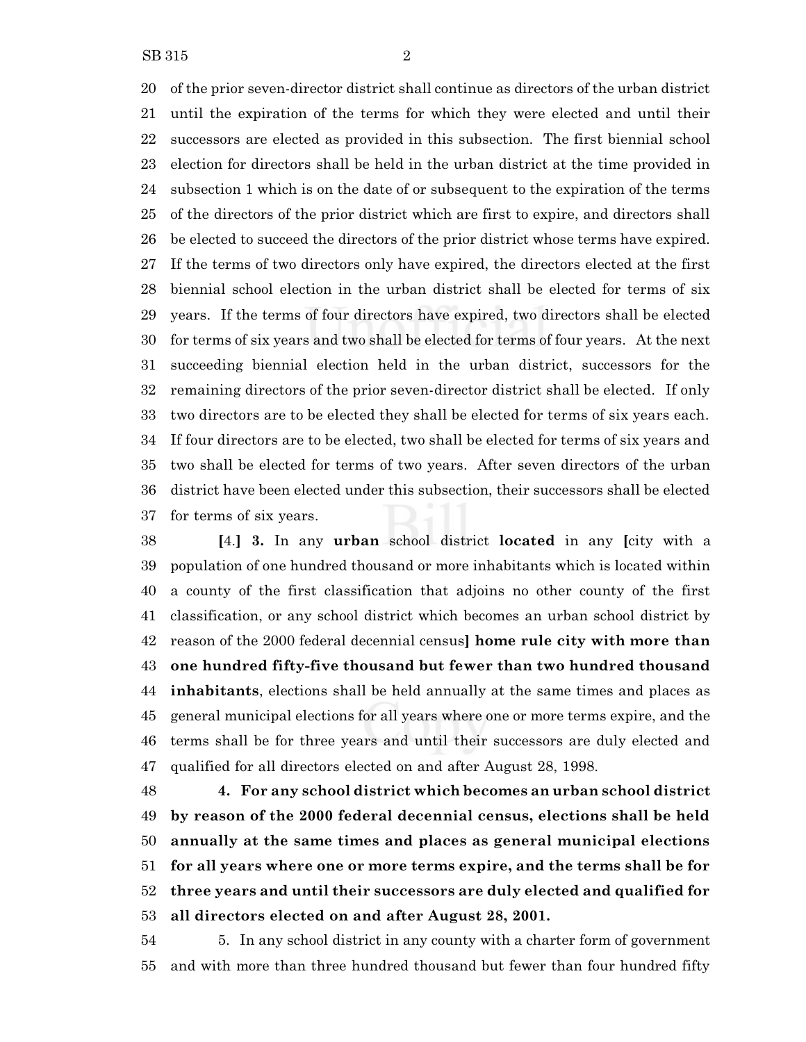of the prior seven-director district shall continue as directors of the urban district until the expiration of the terms for which they were elected and until their successors are elected as provided in this subsection. The first biennial school election for directors shall be held in the urban district at the time provided in subsection 1 which is on the date of or subsequent to the expiration of the terms of the directors of the prior district which are first to expire, and directors shall be elected to succeed the directors of the prior district whose terms have expired. If the terms of two directors only have expired, the directors elected at the first biennial school election in the urban district shall be elected for terms of six years. If the terms of four directors have expired, two directors shall be elected for terms of six years and two shall be elected for terms of four years. At the next succeeding biennial election held in the urban district, successors for the remaining directors of the prior seven-director district shall be elected. If only two directors are to be elected they shall be elected for terms of six years each. If four directors are to be elected, two shall be elected for terms of six years and two shall be elected for terms of two years. After seven directors of the urban district have been elected under this subsection, their successors shall be elected for terms of six years.

 **[**4.**] 3.** In any **urban** school district **located** in any **[**city with a population of one hundred thousand or more inhabitants which is located within a county of the first classification that adjoins no other county of the first classification, or any school district which becomes an urban school district by reason of the 2000 federal decennial census**] home rule city with more than one hundred fifty-five thousand but fewer than two hundred thousand inhabitants**, elections shall be held annually at the same times and places as general municipal elections for all years where one or more terms expire, and the terms shall be for three years and until their successors are duly elected and qualified for all directors elected on and after August 28, 1998.

 **4. For any school district which becomes an urban school district by reason of the 2000 federal decennial census, elections shall be held annually at the same times and places as general municipal elections for all years where one or more terms expire, and the terms shall be for three years and until their successors are duly elected and qualified for all directors elected on and after August 28, 2001.**

 5. In any school district in any county with a charter form of government and with more than three hundred thousand but fewer than four hundred fifty